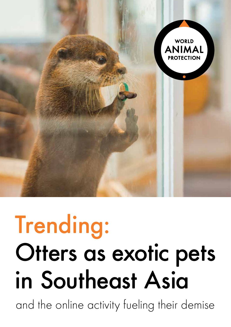

# Trending: Otters as exotic pets in Southeast Asia

and the online activity fueling their demise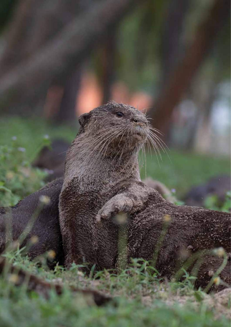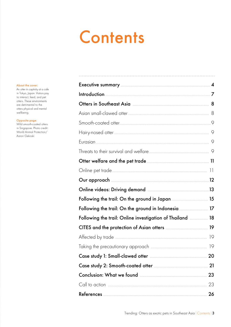### **Contents**

#### About the cover:

An otter in captivity at a cafe in Tokyo, Japan. Visitors pay to interact, feed, and pet otters. These environments are detrimental to the otters physical and mental wellbeing.

#### Opposite page:

Wild smooth-coated otters in Singapore. Photo credit: World Animal Protection/ Aaron Gekoski

|                                                                          | $\boldsymbol{4}$ |
|--------------------------------------------------------------------------|------------------|
| Introduction.                                                            |                  |
|                                                                          |                  |
|                                                                          | 8                |
|                                                                          |                  |
|                                                                          |                  |
|                                                                          |                  |
|                                                                          |                  |
|                                                                          |                  |
|                                                                          |                  |
|                                                                          |                  |
|                                                                          |                  |
| Following the trail: On the ground in Japan  15                          |                  |
| Following the trail: On the ground in Indonesia 17                       |                  |
| Following the trail: Online investigation of Thailand <b>Election</b> 18 |                  |
|                                                                          |                  |
|                                                                          | 19               |
|                                                                          |                  |
|                                                                          | 20               |
|                                                                          | 21               |
|                                                                          |                  |
|                                                                          | 23               |
|                                                                          | 26               |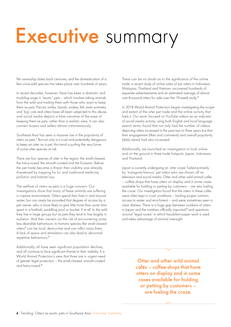### Executive summary

Pet ownership dates back centuries, and the domestication of a few once-wild species has taken place over hundreds of years.

In recent decades, however, there has been a dramatic and troubling surge in "exotic" pets – which involves taking animals from the wild and trading them with those who want to keep them as pets. Parrots, turtles, lizards, snakes, fish, even primates and 'big' cats and otters have all been subjected to this abuse, and social media depicts a false narrative of the ease of keeping them as pets, rather than a realistic view. It can also connect buyers and sellers almost instantaneously.

Southeast Asia has seen a massive rise in the popularity of otters as pets.<sup>1</sup> But not only is it cruel and potentially dangerous to keep an otter as a pet, this trend is putting the very future of some otter species at risk.

There are four species of otter in the region: the small-clawed, the hairy-nosed, the smooth-coated and the Eurasian. Before the pet trade became a threat, their viability was already threatened by trapping for fur and traditional medicine, pollution and habitat loss.

The welfare of otters as pets is a huge concern. Our investigations show that many of these animals are suffering in captive environments. Otters spend their lives in and around water, but can rarely be provided that degree of access by a pet owner, who is more likely to give little more than some time spent in a bathtub, paddling pool or bucket, if at all. In the wild they live in large groups but as pets they tend to live largely in isolation. And their owners run the risk of encountering some less desirable behaviours: to humans species like small-clawed otters<sup>2</sup> can be loud, destructive and can inflict nasty bites. A lack of space and stimulation can also lead to abnormal repetitive behaviours.<sup>3</sup>

Additionally, all have seen significant population declines, and all continue to face significant threats to their viability. It is World Animal Protection's view that three are in urgent need of greater legal protection – the small-clawed, smooth-coated and hairy-nosed.<sup>4</sup>

There can be no doubt as to the significance of the online trade: a recent study of online sales of pet otters in Indonesia, Malaysia, Thailand and Vietnam uncovered hundreds of separate advertisements and an estimated average of almost one thousand otters for sale over the 19-week study.<sup>5</sup>

In 2018 World Animal Protection began investigating the scope and extent of the otter pet trade and the online activity that fuels it. Our work, focused on YouTube videos as an indicator of social media activity, using both English and local language search terms, found that not only had the number of videos depicting otters increased in the past two to three years but that their engagement (likes and comments) and overall popularity (daily views) had also increased.

Additionally, we launched an investigation to look online and on the ground in three trade hotspots: Japan, Indonesia, and Thailand.

Japan is currently undergoing an 'otter craze' fueled primarily by 'Instagram-famous' pet otters who are shown off on television and social media. Otter and other wild animal cafés – coffee shops that have otters on display and in some cases available for holding or petting by customers – are also fueling the craze. Our investigators found that the otters in these cafés were often kept in cruel conditions – lacking proper nutrition, access to water and enrichment – and were sometimes seen in clear distress. There is a huge gap between numbers of otters in Japan and the numbers officially imported,<sup>6</sup> and questions around "legal routes" in which fraudulent paper work is used and takes advantage of minimal oversight.

> Otter and other wild animal cafés – coffee shops that have otters on display and in some cases available for holding or petting by customers – are fueling the craze.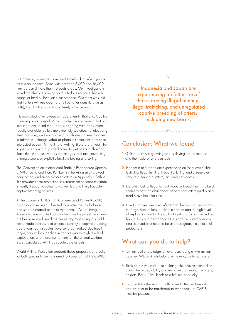In Indonesia, online pet stores and Facebook buy/sell groups exist in abundance. Some with between 3,000 and 16,000 members and more than 10 posts a day. Our investigations found that the otters being sold in Indonesia are either wild caught or bred by local amateur breeders. Our team was told that hunters will use dogs to smell out otter dens (known as holts), then kill the parents and freely take the young.

It is prohibited to hunt, keep or trade otters in Thailand. Captivebreeding is also illegal. Which is why it is concerning that our investigations found that trade is ongoing with baby otters readily available. Sellers are extremely secretive, not disclosing their locations, and not allowing purchasers to see the otters in advance – though video or photo is sometimes offered to interested buyers. At the time of writing, there are at least 10 large Facebook groups dedicated to pet otters in Thailand, that either share cute videos and images, facilitate networking among owners, or explicitly facilitate buying and selling.

The Convention on International Trade in Endangered Species of Wild Fauna and Flora (CITES) lists the Asian small-clawed, hairy-nosed, and smooth-coated otters on Appendix II. While this provides some protection, it is insufficient because the trade is mostly illegal, including from unverified and likely-fraudulent captive breeding sources.

At the upcoming CITES 18th Conference of Parties (CoP18) proposals have been submitted to transfer the small-clawed and smooth-coated otters to Appendix I. An up-listing to Appendix I is warranted not only because they meet the criteria, but because it will send the necessary market signals, add further trade controls, and enhance scrutiny of captive-breeding operations. Both species have suffered marked declines in range, habitat loss, decline in habitat quality, high levels of exploitation, and more, not to mention the animal welfare issues associated with inadequate care as pets.<sup>7</sup>

World Animal Protection supports these proposals and calls for both species to be transferred to Appendix I at the CoP18.

Indonesia and Japan are experiencing an 'otter craze' that is driving illegal hunting, illegal trafficking, and unregulated captive breeding of otters, including new-borns.

### Conclusion: What we found

- 1. Online activity is growing and is driving up the interest in and the trade of otters as pets.
- 2. Indonesia and Japan are experiencing an "otter craze" that is driving illegal hunting, illegal trafficking, and unregulated captive breeding of otters, including new-borns.
- 3. Despite it being illegal to hunt, trade or breed them, Thailand seems to have an abundance of new-born otters quickly and readily available for sale.
- 4. Due to marked declines inferred on the basis of reductions in range, habitat loss, decline in habitat quality, high levels of exploitation, and vulnerability to extrinsic factors, including habitat loss and degradation the smooth-coated otter and small-clawed otter need to be afforded greater international protections.

### What can you do to help?

- •Join our call and pledge to never purchasing a wild animal as a pet. Wild animals belong in the wild, not in our homes.
- Think before you click help change the conversation online about the acceptability of owning wild animals, like otters, as pets. Every "like" leads to a lifetime of cruelty
- Proposals for the Asian small-clawed otter and smoothcoated otter to be transferred to Appendix I at CoP18 must be passed.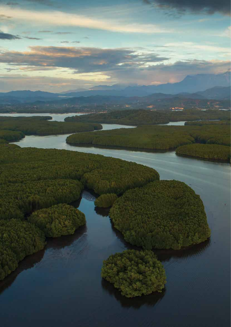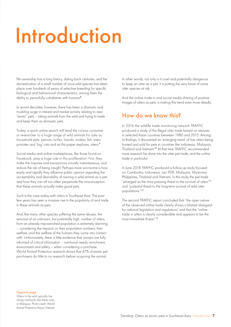## Introduction

Pet ownership has a long history, dating back centuries, and the domestication of a small number of once-wild species has taken place over hundreds of years of selective breeding for specific biological and behavioural characteristics, among them the ability to peacefully cohabitate with humans<sup>8</sup>.

In recent decades, however, there has been a dramatic and troubling surge in interest and market activity relating to new "exotic" pets – taking animals from the wild and trying to trade and keep them as domestic pets.

Today, a quick online search will lead the curious consumer or researcher to a huge range of wild animals for sale as household pets: parrots, turtles, lizards, snakes, fish, even primates and 'big' cats and as this paper explores, otters.<sup>9</sup>

Social media and online marketplaces, like those found on Facebook, play a huge role in this proliferation. First, they make the inquiries and transactions virtually instantaneous, and reduce the risk of being caught. Perhaps more worrisome is how easily and rapidly they influence public opinion regarding the acceptability and desirability of owning a wild animal as a pet, and how they can all too often perpetuate the misconception that these animals actually make good pets.

Such is the case today with otters in Southeast Asia. The past few years has seen a massive rise in the popularity of and trade in these animals as pets.

And, like many other species suffering the same abuses, the removal of an unknown, but potentially high, number of otters, from an already impoverished population is extremely alarming – considering the impacts on their population numbers, their welfare, and the welfare of the humans they come into contact with. Unfortunately, there is little evidence that owners are fully informed of critical information – nutritional needs, enrichment, environment and safety – when considering a purchase. World Animal Protection research shows that 47% of exotic pet purchasers do little to no research before acquiring the animal.

In other words, not only is it cruel and potentially dangerous to keep an otter as a pet, it is putting the very future of some otter species at risk.

And the online trade in and social media sharing of positive images of otters as pets, is making this trend even more deadly.

### How do we know this?

In 2016 the wildlife trade monitoring network TRAFFIC produced a study of the illegal otter trade based on seizures in selected Asian countries between 1980 and 2015. Among its findings, it discovered an 'emerging trend' of live otters being hunted and sold for pets in countries like Indonesia, Malaysia, Thailand and Vietnam. <sup>10</sup> At that time TRAFFIC recommended more research be done into the otter pet trade, and the online trade in particular.

In June 2018 TRAFFIC produced a follow-up study focused on Cambodia, Indonesia, Lao PDR, Malaysia, Myanmar, Philippines, Thailand and Vietnam. In this study the pet trade "emerged as the most pressing threat to the survival of otters"<sup>11</sup> and "potential threat to the long-term survival of wild otter populations."<sup>12</sup>

The second TRAFFIC report concluded that "the open nature of the observed online trade clearly shows a blatant disregard for national legislation and regulations" and that the "online trade in otters is clearly considerable and appears to be the most immediate threat<sup>"13</sup>

Opposite page:

Otters in the wild typically live along riverbanks like these ones in Malaysia. Photo credit: World Animal Protection/Aaron Gekoski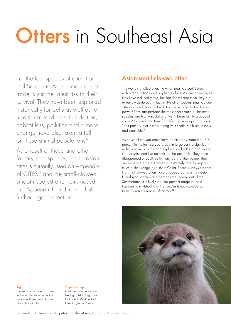## **Otters** in Southeast Asia

For the four species of otter that call Southeast Asia home, the pet trade is just the latest risk to their survival. They have been exploited historically for pelts as well as for traditional medicine. In addition, habitat loss, pollution and climate change have also taken a toll on these animal populations.<sup>14</sup>

As a result of these and other factors, one species, the Eurasian otter is currently listed on Appendix I of CITES<sup>15</sup> and the small-clawed, smooth-coated and hairy-nosed are Appendix II and in need of further legal protection.

### Asian small-clawed otter

The world's smallest otter, the Asian small-clawed is brown with a reddish tinge and a light grey face. As their name implies, they have reduced claws, but that doesn't stop them: they are extremely dexterous. In fact, unlike other species, small-clawed otters will grab food not with their mouths first but with their paws.<sup>16</sup> They are perhaps the most charismatic of the otter species, are highly social and live in large family groups of up to 20 individuals. They form lifelong monogamous pairs. Their primary diet is crab, along with snails, molluscs, insects and small fish.<sup>17</sup>

Asian small-clawed otters have declined by more than 30 percent in the last 30 years, due in large part to significant reductions in its range and exploitation for the global trade in otter skins and live animals for the pet trade. They have disappeared or declined in many parts of their range. They are believed to be extirpated or extremely rare throughout much of their range in southern China. Recent surveys suggest that small-clawed otters have disappeared from the western Himalayan foothills and perhaps the Indian part of the Sundarbans. It is likely that the present range in India has been diminished, and the species is now considered to be extremely rare in Myanmar.<sup>18</sup>



#### Right:

The Asian small-clawed is brown with a reddish tinge and a light grey face. Photo credit: Adobe Stock Photography

#### Opposite page:

A wild smooth-coated otter feeding on fish in Singapore. Photo credit: World Animal Protection/Aaron Gekoski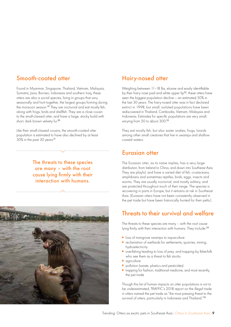### Smooth-coated otter

Found in Myanmar, Singapore, Thailand, Vietnam, Malaysia, Sumatra, Java, Borneo, Indonesia and southern Iraq, these otters are also a social species, living in groups that vary seasonally and hunt together, the largest groups forming during the monsoon season.<sup>19</sup> They are nocturnal and eat mostly fish, along with frogs, birds and shellfish. They are a close cousin to the small-clawed otter, and have a large, stocky build with short, dark brown velvety fur.<sup>20</sup>

Like their small-clawed cousins, the smooth-coated otter population is estimated to have also declined by at least 30% in the past 30 years.<sup>21</sup>

> The threats to these species are many – with the root cause lying firmly with their interaction with humans.



### Hairy-nosed otter

Weighing between 11–18 lbs, elusive and easily identifiable by their hairy nose pad and white upper lip<sup>22</sup>, these otters have seen the biggest population decline — an estimated 50% in the last 30 years. The hairy-nosed otter was in fact declared extinct in 1998, but small, isolated populations have been rediscovered in Thailand, Cambodia, Vietnam, Malaysia and Indonesia. Estimates for specific populations are very small, varying from 50 to about 300.<sup>23</sup>

They eat mostly fish, but also water snakes, frogs, lizards among other small creatures that live in swamps and shallow coastal waters.

### Eurasian otter

The Eurasian otter, as its name implies, has a very large distribution, from Ireland to China, and down into Southeast Asia. They are playful, and have a varied diet of fish, crustaceans, amphibians and sometimes reptiles, birds, eggs, insects and worms. They are usually nocturnal, and mostly solitary, and are protected throughout much of their range. The species is recovering in parts in Europe, but it remains at risk in Southeast Asia. (Eurasian otters have not been consistently observed in the pet trade but have been historically hunted for their pelts.)

### Threats to their survival and welfare

The threats to these species are many – with the root cause lying firmly with their interaction with humans. They include: <sup>24</sup>

- loss of mangrove swamps to aquaculture
- reclamation of wetlands for settlements, quarries, mining, hydroelectricity
- overfishing leading to loss of prey, and trapping by fisherfolk who see them as a threat to fish stocks
- agriculture
- pollution (waste, plastics and pesticides)
- •trapping for fashion, traditional medicine, and most recently, the pet trade

Though this list of human impacts on otter populations is not to be underestimated, TRAFFIC's 2018 report on the illegal trade in otters named the pet trade as "the most pressing threat to the survival of otters, particularly in Indonesia and Thailand."25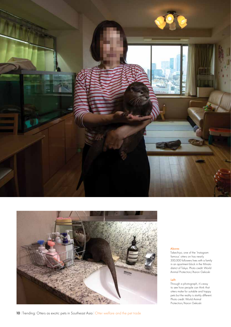



10 Trending: Otters as exotic pets in Southeast Asia : Otter welfare and the pet trade

#### Above:

Takechiyo, one of the 'Instagram famous' otters on has nearly 300,000 followers lives with a family in an apartment block in the Minato district of Tokyo. Photo credit: World Animal Protection/Aaron Gekoski

#### Left:

Through a photograph, it's easy to see how people can think that otters make for suitable and happy pets but the reality is starkly different. Photo credit: World Animal Protection/Aaron Gekoski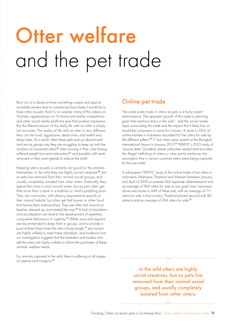## Otter welfare and the pet trade

Born out of a desire to have something unique and special, would-be owners tend to romanticize how lovely it would be to have otters as pets. And it's no surprise: many of the videos on YouTube, appearances on TV shows and reality competitions and other social media platforms give that positive impression. But this filtered version of the daily life with an otter is simply not accurate. The reality of life with an otter is very different: they can be loud, aggressive, destructive, and wield very sharp bites. As a result, often these pets end up abandoned and rescue groups say they are struggling to keep up with the numbers of unwanted otters<sup>26</sup> often arriving in their care having suffered weight loss and malnutrition<sup>27</sup> and possibly with teeth removed or their scent glands to reduce the smell.

Keeping otters as pets is certainly not good for the animals themselves. In the wild they are highly social creatures<sup>28</sup>, but as pets live removed from their normal social groups, and usually completely isolated from other otters. Naturally, they spend their lives in and around water, but as pets often get little more than a dunk in a bathtub or child's paddling pool. They are carnivores, with dietary requirements specific to their natural habitat, but often get fed human or other food that leaves them malnourished. They are often led around on leashes, dressed up, and treated like toys.<sup>29</sup> A lack of stimulation and socialization can lead to the development of repetitive, compulsive behaviours in captivity.<sup>30</sup> While zoos and aquaria are recommended to keep them in groups, and to provide a pool at least three times the otter's body length,<sup>31</sup> pet owners are highly unlikely to meet these standards, and evidence from our investigation suggests that the breeders and traders who sell the otters are highly unlikely to inform the purchaser of these animals' welfare needs.

For animals captured in the wild, there is suffering at all stages of capture and transport.<sup>32</sup>

### Online pet trade

The wide-scale trade in otters as pets is a fairly recent phenomenon. The apparent growth of this trade is alarming given their perilous status in the wild – and the social media hype surrounding this trade and the impact that it likely has on would-be consumers is cause for concern. A study in 2012 of online markets in Indonesia recorded 63 live otters for sale by 46 different sellers.<sup>33</sup>11 live otters were seized at the Bangkok International Airport in January 2013.<sup>34</sup>TRAFFIC's 2015 study of "seizure data" (incidents where authorities seized and recorded the illegal trafficking of otters or otter parts) reinforces the assumption that in certain countries otters were being captured for the pet trade.

A subsequent TRAFFIC study of the online trade of pet otters in Indonesia, Malaysia, Thailand and Vietnam between January and April of 2018 uncovered 560 separate advertisements and an average of 960 otters for sale at any given time. Indonesia alone was home to 449 of these ads, with an average of 711 otters for sale in that country. Thailand placed second with 80 adverts and an average of 204 otters for sale.<sup>35</sup>

> In the wild otters are highly social creatures, but as pets live removed from their normal social groups, and usually completely isolated from other otters.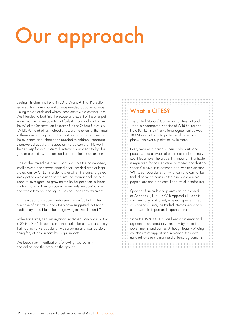## Our approach

Seeing this alarming trend, in 2018 World Animal Protection realized that more information was needed about what was fueling these trends and where these otters were coming from. We intended to look into the scope and extent of the otter pet trade and the online activity that fuels it. Our collaboration with the Wildlife Conservation Research Unit of Oxford University (WildCRU), and others helped us assess the extent of the threat to these animals, figure out the best approach, and identify the evidence and information needed to address important unanswered questions. Based on the outcome of this work, the next step for World Animal Protection was clear: to fight for greater protections for otters and a halt to their trade as pets.

One of the immediate conclusions was that the hairy-nosed, small-clawed and smooth-coated otters needed greater legal protections by CITES. In order to strengthen the case, targeted investigations were undertaken into the international live otter trade, to investigate the growing market for pet otters in Japan – what is driving it, what source the animals are coming from, and where they are ending up – as pets or as entertainment.

Online videos and social media seem to be facilitating the purchase of pet otters, and others have suggested that social media may be to blame for the growing market demand.<sup>36</sup>

At the same time, seizures in Japan increased from two in 2007 to 32 in 2017<sup>37</sup> It seemed that the market for otters in a country that had no native population was growing and was possibly being fed, at least in part, by illegal imports.

We began our investigations following two paths one online and the other on the ground.

### What is CITES?

The United Nations' Convention on International Trade in Endangered Species of Wild Fauna and Flora (CITES) is an international agreement between 183 States that aims to protect wild animals and plants from over-exploitation by humans.

Every year wild animals, their body parts and products, and all types of plants are traded across countries all over the globe. It is important that trade is regulated for conservation purposes and that no species' survival is threatened or driven to extinction. With clear boundaries on what can and cannot be traded between countries the aim is to conserve populations and eradicate illegal wildlife trafficking.

Species of animals and plants can be classed as Appendix I, II, or III; With Appendix I, trade is commercially prohibited, whereas species listed as Appendix II may be traded internationally only under specific import and export controls.

Since the 1970's CITES has been an international agreement adhered to voluntarily by countries, governments, and parties. Although legally binding, countries must support and implement their own national laws to maintain and enforce agreements.

12 Trending: Otters as exotic pets in Southeast Asia i Our approach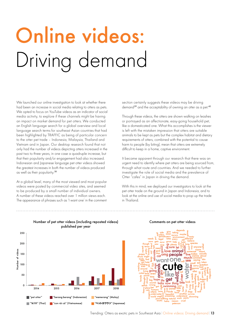## Online videos: Driving demand

We launched our online investigation to look at whether there had been an increase in social media relating to otters as pets. We opted to focus on YouTube videos as an indicator of social media activity, to explore if these channels might be having an impact on market demand for pet otters. We conducted an English language search for a global overview and local language search terms for southeast Asian countries that had been highlighted by TRAFFIC as being of particular concern to the otter pet trade – Indonesia, Malaysia, Thailand and Vietnam and in Japan. Our desktop research found that not only had the number of videos depicting otters increased in the past two to three years, in one case a quadruple increase, but that their popularity and/or engagement had also increased. Indonesian and Japanese language pet otter videos showed the greatest increases in both the number of videos produced as well as their popularity.<sup>38</sup>

At a global level, many of the most viewed and most popular videos were posted by commercial video sites, and seemed to be produced by a small number of individual owners. A number of these videos reached over 1 million views each. The appearance of phrases such as 'I want one' in the comment section certainly suggests these videos may be driving demand<sup>39</sup> and the acceptability of owning an otter as a pet.<sup>40</sup>

Through these videos, the otters are shown walking on leashes or portrayed as an affectionate, easy-going household pet, like a domesticated one. What this accomplishes is the viewer is left with the mistaken impression that otters are suitable animals to be kept as pets but the complex habitat and dietary requirements of otters, combined with the potential to cause harm to people (by biting), mean that otters are extremely difficult to keep in a home, captive environment.

It became apparent through our research that there was an urgent need to identify where pet otters are being sourced from, through what route and countries. And we needed to further investigate the role of social media and the prevalence of Otter "cafes" in Japan in driving the demand.

With this in mind, we deployed our investigators to look at the pet otter trade on the ground in Japan and Indonesia, and to look at the online and use of social media to prop up the trade in Thailand.



Number of pet otter videos (including reposted videos) published per year

#### Comments on pet otter videos

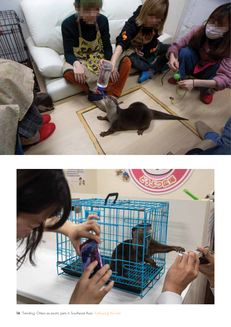



14 Trending: Otters as exotic pets in Southeast Asia Following the trail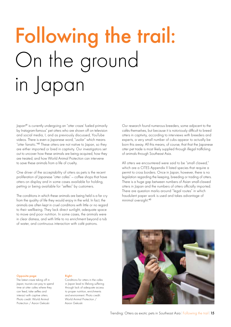## Following the trail: On the ground in Japan

Japan<sup>41</sup> is currently undergoing an "otter craze' fueled primarily by Instagram-famous" pet otters who are shown off on television and social media, I, and as previously discussed, YouTube videos. There is even a Japanese word, "usolar" which means "otter fanatic."<sup>42</sup> These otters are not native to Japan, so they are either imported or bred in captivity. Our investigators set out to uncover how these animals are being acquired, how they are treated, and how World Animal Protection can intervene to save these animals from a life of cruelty.

One driver of the acceptability of otters as pets is the recent proliferation of Japanese "otter cafes" — coffee shops that have otters on display and in some cases available for holding, petting or being available for "selfies" by customers.

The conditions in which these animals are being held is a far cry from the quality of life they would enjoy in the wild. In fact, the animals are often kept in cruel conditions with little or no regard to their wellbeing. They lack direct sunlight, adequate space to move and poor nutrition. In some cases, the animals were in clear distress, and with little to no enrichment beyond a tub of water, and continuous interaction with café patrons.

Our research found numerous breeders, some adjacent to the cafés themselves, but because it is notoriously difficult to breed otters in captivity, according to interviews with breeders and experts, a very small number of cubs appear to actually be born this away. All this means, of course, that that the Japanese otter pet trade is most likely supplied through illegal trafficking of animals through Southeast Asia.

All otters we encountered were said to be "small clawed," which are a CITES Appendix II listed species that require a permit to cross borders. Once in Japan, however, there is no legislation regarding the keeping, breeding or trading of otters. There is a huge gap between numbers of Asian small-clawed otters in Japan and the numbers of otters officially imported. There are auestion marks around "legal routes" in which fraudulent paper work is used and takes advantage of minimal oversight.<sup>43</sup>

#### Opposite page:

The latest craze taking off in Japan, tourists can pay to spend time at otter cafes where they can feed, take selfies and interact with captive otters. Photo credit: World Animal Protection / Aaron Gekoski

#### Right:

Conditions for otters in the cafes in Japan lead to lifelong suffering through lack of adequate access to proper nutrition, enrichments and environment. Photo credit: World Animal Protection / Aaron Gekoski

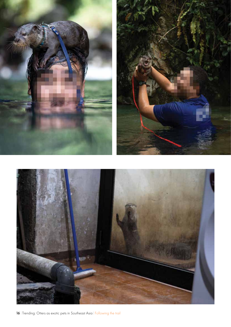



16 : Trending: Otters as exotic pets in Southeast Asia : Following the trail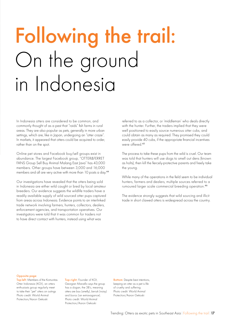## Following the trail: On the ground in Indonesia

In Indonesia otters are considered to be common, and commonly thought of as a pest that "raids" fish farms in rural areas. They are also popular as pets, generally in more urban settings, which are, like in Japan, undergoing an "otter craze". In markets, it appeared that otters could be acquired to order, rather than on the spot.

Online pet stores and Facebook buy/sell groups exist in abundance. The largest Facebook group, "OTTER&FERRET FANS Group Sell Buy Animal Malang East Java" has 43,000 members. Other groups have between 3,000 and 16,000 members and all are very active with more than 10 posts a day.<sup>44</sup>

Our investigations have revealed that the otters being sold in Indonesia are either wild caught or bred by local amateur breeders. Our evidence suggests the wildlife traders have a readily available supply of wild sourced otter pups captured from areas across Indonesia. Evidence points to an interlinked trade network involving farmers, hunters, collectors, dealers, enforcement agencies, and transportation operatives. Our investigators were told that it was common for traders not to have direct contact with hunters, instead using what was

referred to as a collector, or 'middleman' who deals directly with the hunter. Further, the traders implied that they were well positioned to easily source numerous otter cubs, and could obtain as many as required. They promised they could easily provide 40 cubs, if the appropriate financial incentives were offered.<sup>45</sup>

The process to take these pups from the wild is cruel. Our team was told that hunters will use dogs to smell out dens (known as holts), then kill the fiercely-protective parents and freely take the young.

While many of the operations in the field seem to be individual hunters, farmers and dealers, multiple sources referred to a rumoured larger scale commercial breeding operation.<sup>46</sup>

The evidence strongly suggests that wild sourcing and illicit trade in short clawed otters is widespread across the country.

#### Opposite page:

Top-left: Members of the Komunitas Otter Indonesia (KOI), an otters enthusiasts group regularly meet to take their "pet" otters on outings Photo credit: World Animal Protection/Aaron Gekoski

Top-right: Founder of KOI, Georgian Marcello says the group has a slogan, the 3B's, meaning otters are *bau* (smelly), *berisik* (noisy) and *boros* (an extravagance). Photo credit: World Animal Protection/Aaron Gekoski

**Bottom:** Despite best intentions, keeping an otter as a pet is life of cruelty and suffering. Photo credit: World Animal Protection/Aaron Gekoski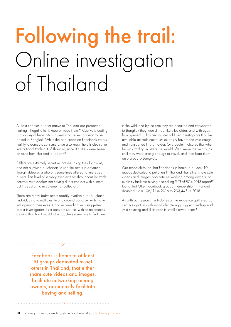## Following the trail: Online investigation of Thailand

All four species of otter native to Thailand are protected, making it illegal to hunt, keep or trade them.<sup>47</sup> Captive breeding is also illegal here. Most buyers and sellers appear to be based in Bangkok. While the otter trade on Facebook caters mainly to domestic consumers, we also know there is also some international trade out of Thailand, since 32 otters were seized en route from Thailand to Japan.<sup>48</sup>

Sellers are extremely secretive, not disclosing their locations, and not allowing purchasers to see the otters in advance – though video or a photo is sometimes offered to interested buyers. This level of secrecy even extends throughout the trade network with dealers not having direct contact with hunters, but instead using middlemen or collectors.

There are many baby otters readily available for purchase (individuals and multiples) in and around Bangkok, with many just opening their eyes. Captive breeding was suggested to our investigators as a possible source, with some sources arguing that that it would take poachers some time to find them in the wild, and by the time they are acquired and transported to Bangkok they would most likely be older, and with eyes fully opened. Still other sources told our investigators that the available animals could just as easily have been wild caught and transported in short order. One dealer indicated that when he was trading in otters, he would often wean the wild pups until they were strong enough to travel, and then load them onto a bus to Bangkok.

Our research found that Facebook is home to at least 10 groups dedicated to pet otters in Thailand, that either share cute videos and images, facilitate networking among owners, or explicitly facilitate buying and selling.<sup>49</sup> TRAFFIC's 2018 report<sup>50</sup> found that Otter Facebook groups' membership in Thailand doubled, from 106,111 in 2016 to 203,445 in 2018.

As with our research in Indonesia, the evidence gathered by our investigators in Thailand also strongly suggests widespread wild sourcing and illicit trade in small-clawed otters.<sup>51</sup>

Facebook is home to at least 10 groups dedicated to pet otters in Thailand, that either share cute videos and images, facilitate networking among owners, or explicitly facilitate buying and selling.

18 Trending: Otters as exotic pets in Southeast Asia Following the trail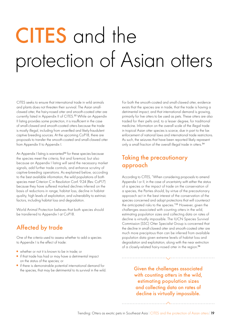## CITES and the protection of Asian otters

CITES seeks to ensure that international trade in wild animals and plants does not threaten their survival. The Asian smallclawed otter, the hairy-nosed otter and smooth-coated otter are currently listed in Appendix II of CITES.<sup>52</sup> While an Appendix II listing provides some protection, it is insufficient in the case of small-clawed and smooth-coated otters because the trade is mostly illegal, including from unverified and likely-fraudulent captive breeding sources. At the upcoming CoP18, there are proposals to transfer the smooth-coated and small-clawed otter from Appendix II to Appendix I.

An Appendix I listing is warranted<sup>53</sup> for these species because the species meet the criteria, first and foremost, but also because an Appendix I listing will send the necessary market signals, add further trade controls, and enhance scrutiny of captive-breeding operations. As explained below, according to the best available information, the wild populations of both species meet Criterion C in Resolution Conf. 9.24 (Rev. CoP17) because they have suffered marked declines inferred on the basis of reductions in range, habitat loss, decline in habitat quality, high levels of exploitation, and vulnerability to extrinsic factors, including habitat loss and degradation.

World Animal Protection believes that both species should be transferred to Appendix I at CoP18.

### Affected by trade

One of the criteria used to assess whether to add a species to Appendix I is the effect of trade:

- whether or not it is known to be in trade; or
- if that trade has had or may have a detrimental impact on the status of the species; or
- if there is demonstrable potential international demand for the species, that may be detrimental to its survival in the wild.

For both the smooth-coated and small-clawed otter, evidence exists that the species are in trade, that the trade is having a detrimental impact, and that international demand is growing, primarily for live otters to be used as pets. These otters are also traded for their pelts and, to a lesser degree, for traditional medicine. Information on the overall scale of the illegal trade in tropical Asian otter species is scarce, due in part to the lax enforcement of national laws and international trade restrictions. As such, the seizures that have been reported likely represent only a small fraction of the overall illegal trade in otters.<sup>54</sup>

### Taking the precautionary approach

According to CITES, "When considering proposals to amend Appendix I or II, in the case of uncertainty with either the status of a species or the impact of trade on the conservation of a species, the Parties should, by virtue of the precautionary approach act in the best interest of the conservation of the species concerned and adopt protections that will counteract the anticipated risks to the species."<sup>55</sup> However, given the challenges associated with counting otters in the wild, estimating population sizes and collecting data on rates of decline is virtually impossible. The IUCN Species Survival Commission (SSC) Otter Specialist Group is concerned that the decline in small-clawed otter and smooth-coated otter are much more precipitous than can be inferred from available population data given extreme levels of habitat loss and degradation and exploitation, along with the near extinction of a closely-related hairy-nosed otter in the region.<sup>56</sup>

> Given the challenges associated with counting otters in the wild, estimating population sizes and collecting data on rates of decline is virtually impossible.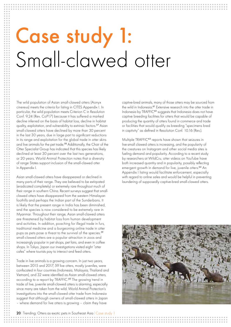## Case study 1: Small-clawed otter

The wild population of Asian small-clawed otters (Aonyx cinereus) meets the criteria for listing in CITES Appendix I. In particular, the wild population meets Criterion C in Resolution Conf. 9.24 (Rev. CoP17) because it has suffered a marked decline inferred on the basis of habitat loss, decline in habitat quality, exploitation, and vulnerability to extrinsic factors.<sup>57</sup> Asian small-clawed otters have declined by more than 30 percent in the last 30 years, due in large part to significant reductions in its range and exploitation for the global trade in otter skins and live animals for the pet trade.<sup>58</sup> Additionally, the Chair of the Otter Specialist Group has indicated that this species has likely declined at least 30 percent over the last two generations, or 20 years. World Animal Protection notes that a diversity of range States support inclusion of the small-clawed otter in Appendix I.

Asian small-clawed otters have disappeared or declined in many parts of their range. They are believed to be extirpated (eradicated completely) or extremely rare throughout much of their range in southern China. Recent surveys suggest that smallclawed otters have disappeared from the western Himalayan foothills and perhaps the Indian part of the Sunderbans. It is likely that the present range in India has been diminished, and the species is now considered to be extremely rare in Myanmar. Throughout their range, Asian small-clawed otters are threatened by habitat loss from human development and activities. In addition, poaching for illegal trade in furs, traditional medicine and a burgeoning online trade in otter pups as pets pose a threat to the survival of the species.<sup>59</sup> small-clawed otters are a popular attraction in zoos and increasingly popular in pet shops, pet fairs, and even in coffee shops. In Tokyo, Japan our investigations visited eight "otter cafes" where tourists pay to interact and feed otters.

Trade in live animals is a growing concern. In just two years, between 2015 and 2017, 59 live otters, mostly juveniles, were confiscated in four countries (Indonesia, Malaysia, Thailand and Vietnam), and 32 were identified as Asian small-clawed otters, according to a report by TRAFFIC.<sup>60</sup> The growing trend in trade of live, juvenile small-clawed otters is alarming, especially since many are taken from the wild. World Animal Protection's investigations into the small-clawed otter trade from Indonesia suggest that although owners of small-clawed otters in Japan – where demand for live otters is growing – claim they have

captive-bred animals, many of those otters may be sourced from the wild in Indonesia.<sup>61</sup> Extensive research into the otter trade in Indonesia by TRAFFIC<sup>62</sup> suggests that Indonesia does not have captive breeding facilities for otters that would be capable of producing the quantity of otters found in commerce and trade or facilities that would qualify as breeding "specimens bred in captivity" as defined in Resolution Conf. 10.16 (Rev.).

Multiple TRAFFIC<sup>63</sup> reports have shown that seizures in live-small clawed otters is increasing, and the popularity of the creatures on Instagram and other social media sites is fueling demand and popularity. According to a recent study by researchers at WildCru, otter videos on YouTube have both increased quantity and in popularity, possibly reflecting emergent growth in demand for live, juvenile otters.<sup>64</sup> An Appendix I listing would facilitate enforcement, especially with regard to online sales and would be helpful in preventing laundering of supposedly captive-bred small-clawed otters.

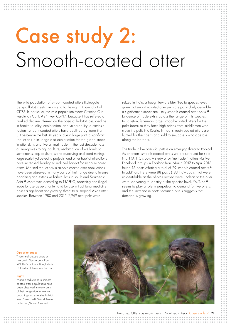## Case study 2: Smooth-coated otter

The wild population of smooth-coated otters (Lutrogale perspicillata) meets the criteria for listing in Appendix I of CITES. In particular, the wild population meets Criterion C in Resolution Conf. 9.24 (Rev. CoP17) because it has suffered a marked decline inferred on the basis of habitat loss, decline in habitat quality, exploitation, and vulnerability to extrinsic factors. smooth-coated otters have declined by more than 30 percent in the last 30 years, due in large part to significant reductions in its range and exploitation for the global trade in otter skins and live animal trade. In the last decade, loss of mangroves to aquaculture, reclamation of wetlands for settlements, aquaculture, stone quarrying and sand mining, large-scale hydroelectric projects, and other habitat alterations have increased, leading to reduced habitat for smooth-coated otters. Marked reductions in smooth-coated otter populations have been observed in many parts of their range due to intense poaching and extensive habitat loss in south and Southeast Asia.<sup>65</sup> Moreover, according to TRAFFIC, poaching and illegal trade for use as pets, for fur, and for use in traditional medicine poses a significant and growing threat to all tropical Asian otter species. Between 1980 and 2015, 2,949 otter pelts were

seized in India; although few are identified to species level, given that smooth-coated otter pelts are particularly desirable, a significant number are likely smooth-coated otter pelts.<sup>66</sup> Evidence of trade exists across the range of this species. In Pakistan, fisherman target smooth-coated otters for their pelts because they fetch high prices from middlemen who move the pelts into Russia. In Iraq, smooth-coated otters are hunted for their pelts and sold to smugglers who operate along the borders.

The trade in live otters for pets is an emerging threat to tropical Asian otters. smooth-coated otters were also found for sale in a TRAFFIC study. A study of online trade in otters via five Facebook groups in Thailand from March 2017 to April 2018 found 15 posts offering a total of 29 smooth-coated otters.<sup>67</sup> In addition, there were 88 posts (183 individuals) that were unidentifiable as the photos posted were unclear or the otter were too young to identify at the species level. YouTube<sup>68</sup> seems to play a role in perpetuating demand for live otters, and the increase in posts featuring otters suggests that demand is growing.



#### Opposite page:

Three small-clawed otters on riverbank, Sundarbans East Wildlife Sanctuary, Bangladesh. Dr Gertrud Neumann-Denzau.

#### Right:

Marked reductions in smoothcoated otter populations have been observed in many parts of their range due to intense poaching and extensive habitat loss. Photo credit: World Animal Protection/Aaron Gekoski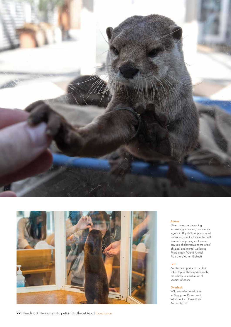



22 : Trending: Otters as exotic pets in Southeast Asia : Conclusion

#### Above:

Otter cafes are becoming increasingly common, particularly in Japan. Tiny shallow pools, small enclosures, unnatural interaction with hundreds of paying customers a day, are all detrimental to the otters' physical and mental wellbeing. Photo credit: World Animal Protection/Aaron Gekoski

#### Left:

An otter in captivity at a cafe in Tokyo Japan. These environments are wholly unsuitable for all species of otters.

#### Overleaf:

Wild smooth-coated otter in Singapore. Photo credit: World Animal Protection/ Aaron Gekoski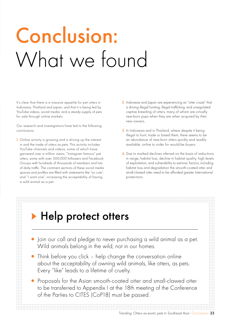## Conclusion: What we found

It's clear that there is a massive appetite for pet otters in Indonesia, Thailand and Japan, and that it is being fed by YouTube videos, social media, and a steady supply of pets for sale through online markets.

Our research and investigations have led to the following conclusions:

- 1. Online activity is growing and is driving up the interest in and the trade of otters as pets. This activity includes YouTube channels and videos, some of which have garnered over a million views, "Instagram famous" pet otters, some with over 300,000 followers and Facebook Groups with hundreds of thousands of members and lots of daily traffic. The comment sections of these social media spaces and profiles are filled with statements like "so cute", and "I want one", increasing the acceptability of having a wild animal as a pet.
- 2. Indonesia and Japan are experiencing an "otter craze" that is driving illegal hunting, illegal trafficking, and unregulated captive breeding of otters, many of whom are virtually new-born pups when they are when acquired by their new owners.
- 3. In Indonesia and in Thailand, where despite it being illegal to hunt, trade or breed them, there seems to be an abundance of new-born otters quickly and readily available, online to order for would-be buyers.
- 4. Due to marked declines inferred on the basis of reductions in range, habitat loss, decline in habitat quality, high levels of exploitation, and vulnerability to extrinsic factors, including habitat loss and degradation the smooth-coated otter and small-clawed otter need to be afforded greater International protections.

### Help protect otters

- •Join our call and pledge to never purchasing a wild animal as a pet. Wild animals belong in the wild, not in our homes.
- Think before you click help change the conversation online about the acceptability of owning wild animals, like otters, as pets. Every "like" leads to a lifetime of cruelty.
- Proposals for the Asian smooth-coated otter and small-clawed otter to be transferred to Appendix I at the 18th meeting of the Conference of the Parties to CITES (CoP18) must be passed.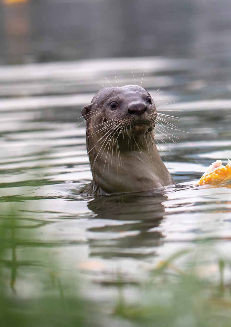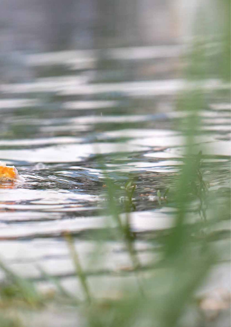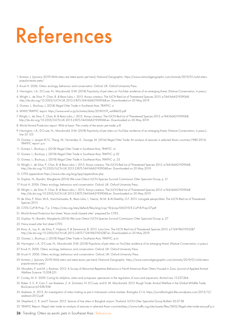## References

- 1. Actman, J. (January 2019) Wild otters are latest exotic pet trend, National Geographic. https://www.nationalgeographic.com/animals/2019/01/wild-otterspopular-exotic-pets/
- 2. Kruuk H. 2006. Otters: ecology, behaviour and conservation. Oxford, UK: Oxford University Press.
- 3. Harrington, L.A.; D'Cruze, N.; Macdonald, D.W. (2018) Popularity of pet otters on YouTube: evidence of an emerging threat, (Nature Conservation, in press.).
- 4. Wright, L., de Silva, P., Chan, B. & Reza Lubis, I. 2015. Aonyx cinereus. The IUCN Red List of Threatened Species 2015: e.T44166A21939068. http://dx.doi.org/10.2305/IUCN.UK.2015-2.RLTS.T44166A21939068.en. Downloaded on 20 May 2019.
- 5. Gomez, L.; Bouhuys, J. (2018) Illegal Otter Trade in Southeast Asia, TRAFFIC: vi
- 6. WWF/TRAFFIC report. https://www.wwf.or.jp/activities/data/20181019\_wildlife02.pdf
- 7. Wright, L., de Silva, P., Chan, B. & Reza Lubis, I. 2015. Aonyx cinereus. The IUCN Red List of Threatened Species 2015: e.T44166A21939068. http://dx.doi.org/10.2305/IUCN.UK.2015-2.RLTS.T44166A21939068.en. Downloaded on 20 May 2019.
- 8. World Animal Protection report: Wild at heart: The cruelty of the exotic pet trade: p.8
- 9. Harrington, L.A.; D'Cruze, N.; Macdonald, D.W. (2018) Popularity of pet otters on YouTube: evidence of an emerging threat, (Nature Conservation, in press.),: line 55 123
- 10. Gomez, L.; Leupen B.T.C; Theng, M.; Fernandez, K.; Savage, M. (2016) Illegal Otter Trade: An analysis of seizures in selected Asian countries (1980-2015), TRAFFIC report: p,iv
- 11. Gomez, L.; Bouhuys, J. (2018) Illegal Otter Trade in Southeast Asia, TRAFFIC: vii
- 12. Gomez, L.; Bouhuys, J. (2018) Illegal Otter Trade in Southeast Asia, TRAFFIC: p 32
- 13. Gomez, L.; Bouhuys, J. (2018) Illegal Otter Trade in Southeast Asia, TRAFFIC: p. 33
- 14. Wright, L., de Silva, P., Chan, B. & Reza Lubis, I. 2015. Aonyx cinereus. The IUCN Red List of Threatened Species 2015: e.T44166A21939068. http://dx.doi.org/10.2305/IUCN.UK.2015-2.RLTS.T44166A21939068.en. Downloaded on 20 May 2019.
- 15. CITES appendices https://www.cites.org/eng/app/appendices.php
- 16. Duplaix, N.; Bandini, Margherita (2016) We Love Otters! IUCN-Species Survival Commission Otter Speciaist Group, p. 21
- 17. Kruuk H. 2006. Otters: ecology, behaviour and conservation. Oxford, UK: Oxford University Press.
- 18. Wright, L., de Silva, P., Chan, B. & Reza Lubis, I. 2015. Aonyx cinereus. The IUCN Red List of Threatened Species 2015: e.T44166A21939068. http://dx.doi.org/10.2305/IUCN.UK.2015-2.RLTS.T44166A21939068.en. Downloaded on 20 May 2019.
- 19. de Silva, P., Khan, W.A., Kanchanasaka, B., Reza Lubis, I., Feeroz, M.M. & Al-Sheikhly, O.F. 2015. Lutrogale perspicillata. The IUCN Red List of Threatened Species 2015
- 20. CITES CoP18 Prop. 7 p. 3 https://cites.org/sites/default/files/eng/cop/18/prop/060319/E-CoP18-Prop-07.pdf
- 21. World Animal Protection fact sheet "Asian small-clawed otter" prepared for CITES
- 22. Duplaix, N.; Bandini, Margherita (2016) We Love Otters! IUCN-Species Survival Commission Otter Speciaist Group: p. 27
- 23. Hairy-nosed otter fact sheet CITES
- 24. Roos, A., Loy, A., de Silva, P., Hajkova, P. & Zemanová, B. 2015. Lutra lutra. The IUCN Red List of Threatened Species 2015: e.T12419A21935287. http://dx.doi.org/10.2305/IUCN.UK.2015-2.RLTS.T12419A21935287.en. Downloaded on 20 May 2019.
- 25. Gomez, L.; Bouhuys, J. (2018) Illegal Otter Trade in Southeast Asia, TRAFFIC: p.vii
- 26. Harrington, L.A.; D'Cruze, N.; Macdonald, D.W. (2018) Popularity of pet otters on YouTube: evidence of an emerging threat, (Nature Conservation, in press.)
- 27. Kruuk H. 2006. Otters: ecology, behaviour and conservation. Oxford, UK: Oxford University Press.
- 28. Kruuk H. 2006. Otters: ecology, behaviour and conservation. Oxford, UK: Oxford University Press.
- 29. Actman, J. (January 2019) Wild otters are latest exotic pet trend, National Geographic. https://www.nationalgeographic.com/animals/2019/01/wild-otterspopular-exotic-pets/
- 30. Morabito, P. and M. J. Bashaw. 2012. A Survey of Abnormal Repetitive Behaviors in North American River Otters Housed in Zoos. Journal of Applied Animal Welfare Science 15:208-221.
- 31. Conley, M. K. 2009. Caring for dolphins, otters and octopuses: speciesism in the regulation of zoos and aquariums. Animal Law 15:237-264.
- 32. Baker, S. E., R. Cain, F. van Kesteren, Z. A. Zommers, N. D'Cruze, and D. W. Macdonald. 2013. Rough Trade: Animal Welfare in the Global Wildlife Trade. BioScience 63:928-938.
- 33. Aadrean, A. 2013. An investigation of otters trading as pet in Indonesian online markets. Biologika 2:1-6. https://jurnalbiologika.files.wordpress.com/2013/12/ aadrean-2013.pdf
- 34. Shepherd, C. R. and P. Tansom. 2013. Seizure of live otters in Bangkok airport, Thailand. IUCN Otter Specialist Group Bulletin 30:37-38.
- 35. TRAFFIC Report: Illegal otter trade an analysis of seizures in selected Asian countrieshttps://www.traffic.org/site/assets/files/2402/illegal-otter-trade-asia.pdf p.iv
- 26 Trending: Otters as exotic pets in Southeast Asia : References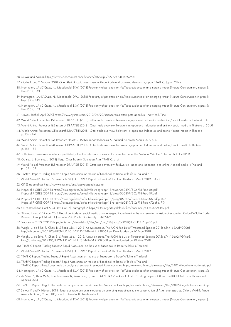- 36. Siriwat and Nijman https://www.sciencedirect.com/science/article/pii/S2287884X18302681
- 37. Kitade, T. and Y. Naruse. 2018. Otter Alert: A rapid assessment of illegal trade and booming demand in Japan. TRAFFIC, Japan Office.
- 38. Harrington, L.A.; D'Cruze, N.; Macdonald, D.W. (2018) Popularity of pet otters on YouTube: evidence of an emerging threat, (Nature Conservation, in press.): lines135 to 143
- 39. Harrington, L.A.; D'Cruze, N.; Macdonald, D.W. (2018) Popularity of pet otters on YouTube: evidence of an emerging threat, (Nature Conservation, in press.),: lines135 to 143
- 40. Harrington, L.A.; D'Cruze, N.; Macdonald, D.W. (2018) Popularity of pet otters on YouTube: evidence of an emerging threat, (Nature Conservation, in press.): lines135 to 143
- 41. Nuwer, Rachel (April 2019) https://www.nytimes.com/2019/04/22/science/asia-otters-pets-japan.html New York Time
- 42. World Animal Protection I&E research DRAATSIE (2018) Otter trade overview: fieldwork in Japan and Indonesia, and online / social media in Thailand p. 4
- 43. World Animal Protection I&E research DRAATSIE (2018) Otter trade overview: fieldwork in Japan and Indonesia, and online / social media in Thailand p. 50-51
- 44. World Animal Protection I&E research DRAATSIE (2018) Otter trade overview: fieldwork in Japan and Indonesia, and online / social media in Thailand p. 154 - 162
- 45. World Animal Protection I&E Research PROJECT TARKA Report Indonesia & Thailand Fieldwork March 2019 p. 4
- 46. World Animal Protection I&E research DRAATSIE (2018) Otter trade overview: fieldwork in Japan and Indonesia, and online / social media in Thailand p. 1561-152
- 47. In Thailand, possession of otters is prohibited; all native otters are domestically protected under the National Wildlife Protection Act of 2535 B.E.
- 48. Gomez, L.; Bouhuys, J. (2018) Illegal Otter Trade in Southeast Asia, TRAFFIC: p. vi
- 49. World Animal Protection I&E research DRAATSIE (2018) Otter trade overview: fieldwork in Japan and Indonesia, and online / social media in Thailand p. 154 - 162
- 50. TRAFFIC Report: Trading Faces: A Rapid Assessment on the use of Facebook to Trade Wildlife in Thailand p. 8
- 51. World Animal Protection I&E Research PROJECT TARKA Report Indonesia & Thailand Fieldwork March 2019 p. 4 5
- 52. CITES appendices https://www.cites.org/eng/app/appendices.php
- 53. Proposal 6 CITES COP 18 https://cites.org/sites/default/files/eng/cop/18/prop/060319/E-CoP18-Prop-06.pdf Proposal 7 CITES COP 18 https://cites.org/sites/default/files/eng/cop/18/prop/060319/E-CoP18-Prop-07.pdf
- 54. Proposal 6 CITES COP 18 https://cites.org/sites/default/files/eng/cop/18/prop/060319/E-CoP18-Prop-06.pdf p. 8-9 Proposal 7 CITES COP 18 https://cites.org/sites/default/files/eng/cop/18/prop/060319/E-CoP18-Prop-07.pdf p. 7-9
- 55. CITES Resolution Conf. 9.24 (Rev. CoP17), paragraph 2. https://cites.org/sites/default/files/document/E-Res-09-24-R17.pdf
- 56. Siriwat, P. and V. Nijman. 2018 Illegal pet trade on social media as an emerging impediment to the conservation of Asian otter species. Oxford Wildlife Trade Research Group, Oxford UK Journal of Asia-Pacific Biodiversity 11:469-475
- 57. Proposal 6 CITES COP 18 https://cites.org/sites/default/files/eng/cop/18/prop/060319/E-CoP18-Prop-06.pdf
- 58. Wright, L., de Silva, P., Chan, B. & Reza Lubis, I. 2015. Aonyx cinereus. The IUCN Red List of Threatened Species 2015: e.T44166A21939068. http://dx.doi.org/10.2305/IUCN.UK.2015-2.RLTS.T44166A21939068.en. Downloaded on 20 May 2019.
- 59. Wright, L., de Silva, P., Chan, B. & Reza Lubis, I. 2015. Aonyx cinereus. The IUCN Red List of Threatened Species 2015: e.T44166A21939068. http://dx.doi.org/10.2305/IUCN.UK.2015-2.RLTS.T44166A21939068.en. Downloaded on 20 May 2019.
- 60. TRAFFIC Report: Trading Faces: A Rapid Assessment on the use of Facebook to Trade Wildlife in Thailand
- 61. World Animal Protection I&E Research PROJECT TARKA Report Indonesia & Thailand Fieldwork March 2019
- 62. TRAFFIC Report: Trading Faces: A Rapid Assessment on the use of Facebook to Trade Wildlife in Thailand
- 63. TRAFFIC Report: Trading Faces: A Rapid Assessment on the use of Facebook to Trade Wildlife in Thailand TRAFFIC Report: Illegal otter trade an analysis of seizures in selected Asian countries https://www.traffic.org/site/assets/files/2402/illegal-otter-trade-asia.pdf
- 64. Harrington, L.A.; D'Cruze, N.; Macdonald, D.W. (2018) Popularity of pet otters on YouTube: evidence of an emerging threat, (Nature Conservation, in press.):
- 65. de Silva, P., Khan, W.A., Kanchanasaka, B., Reza Lubis, I., Feeroz, M.M. & Al-Sheikhly, O.F. 2015. Lutrogale perspicillata. The IUCN Red List of Threatened Species 2015
- 66. TRAFFIC Report: Illegal otter trade an analysis of seizures in selected Asian countries https://www.traffic.org/site/assets/files/2402/illegal-otter-trade-asia.pdf
- 67. Siriwat, P. and V. Nijman. 2018 Illegal pet trade on social media as an emerging impediment to the conservation of Asian otter species. Oxford Wildlife Trade Research Group, Oxford UK Journal of Asia-Pacific Biodiversity 11
- 68. Harrington, L.A.; D'Cruze, N.; Macdonald, D.W. (2018) Popularity of pet otters on YouTube: evidence of an emerging threat, (Nature Conservation, in press.):